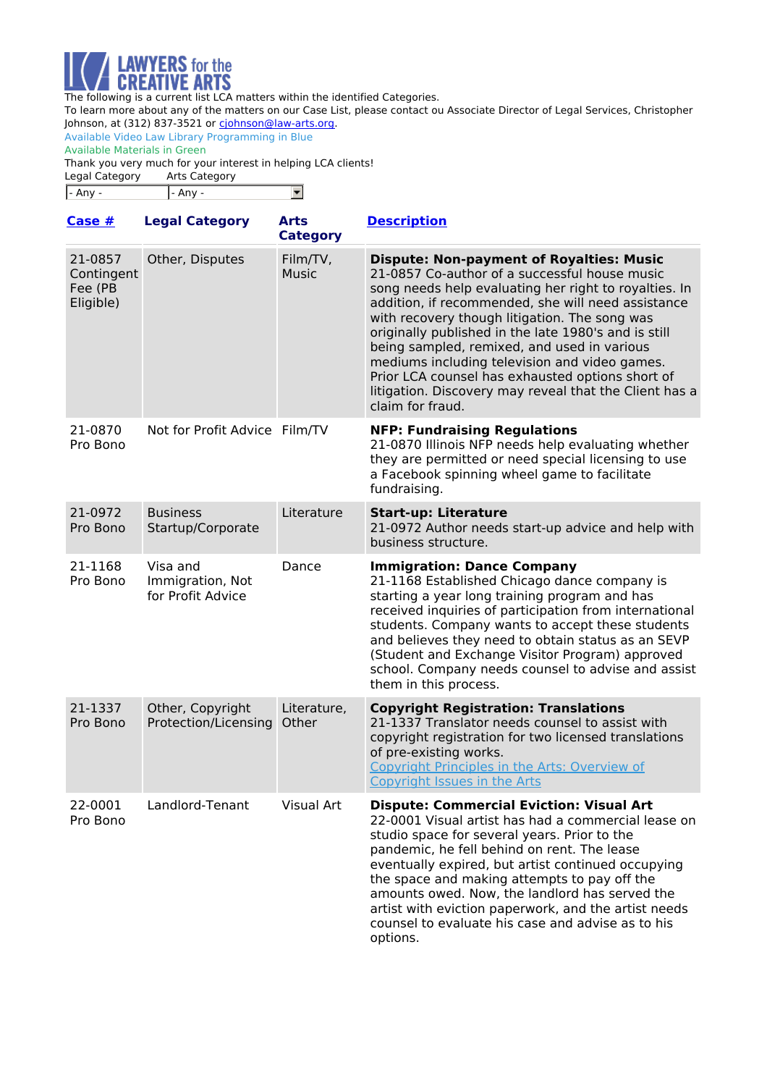

To learn more about any of the matters on our Case List, please contact ou Associate Director of Legal Services, Christopher Johnson, at (312) 837-3521 or [cjohnson@law-arts.org](mailto:cjohnson@law-arts.org).

Available Video Law Library Programming in Blue Available Materials in Green

Thank you very much for your interest in helping LCA clients!

| Legal Category  | Arts Category |  |
|-----------------|---------------|--|
| $\vert$ - Any - | - Any -       |  |

| Case $#$                                      | <b>Legal Category</b>                             | <b>Arts</b><br><b>Category</b> | <b>Description</b>                                                                                                                                                                                                                                                                                                                                                                                                                                                                                                                                         |
|-----------------------------------------------|---------------------------------------------------|--------------------------------|------------------------------------------------------------------------------------------------------------------------------------------------------------------------------------------------------------------------------------------------------------------------------------------------------------------------------------------------------------------------------------------------------------------------------------------------------------------------------------------------------------------------------------------------------------|
| 21-0857<br>Contingent<br>Fee (PB<br>Eligible) | Other, Disputes                                   | Film/TV,<br><b>Music</b>       | <b>Dispute: Non-payment of Royalties: Music</b><br>21-0857 Co-author of a successful house music<br>song needs help evaluating her right to royalties. In<br>addition, if recommended, she will need assistance<br>with recovery though litigation. The song was<br>originally published in the late 1980's and is still<br>being sampled, remixed, and used in various<br>mediums including television and video games.<br>Prior LCA counsel has exhausted options short of<br>litigation. Discovery may reveal that the Client has a<br>claim for fraud. |
| 21-0870<br>Pro Bono                           | Not for Profit Advice Film/TV                     |                                | <b>NFP: Fundraising Regulations</b><br>21-0870 Illinois NFP needs help evaluating whether<br>they are permitted or need special licensing to use<br>a Facebook spinning wheel game to facilitate<br>fundraising.                                                                                                                                                                                                                                                                                                                                           |
| 21-0972<br>Pro Bono                           | <b>Business</b><br>Startup/Corporate              | Literature                     | <b>Start-up: Literature</b><br>21-0972 Author needs start-up advice and help with<br>business structure.                                                                                                                                                                                                                                                                                                                                                                                                                                                   |
| 21-1168<br>Pro Bono                           | Visa and<br>Immigration, Not<br>for Profit Advice | Dance                          | <b>Immigration: Dance Company</b><br>21-1168 Established Chicago dance company is<br>starting a year long training program and has<br>received inquiries of participation from international<br>students. Company wants to accept these students<br>and believes they need to obtain status as an SEVP<br>(Student and Exchange Visitor Program) approved<br>school. Company needs counsel to advise and assist<br>them in this process.                                                                                                                   |
| 21-1337<br>Pro Bono                           | Other, Copyright<br>Protection/Licensing          | Literature,<br>Other           | <b>Copyright Registration: Translations</b><br>21-1337 Translator needs counsel to assist with<br>copyright registration for two licensed translations<br>of pre-existing works.<br>Copyright Principles in the Arts: Overview of<br>Copyright Issues in the Arts                                                                                                                                                                                                                                                                                          |
| 22-0001<br>Pro Bono                           | Landlord-Tenant                                   | Visual Art                     | <b>Dispute: Commercial Eviction: Visual Art</b><br>22-0001 Visual artist has had a commercial lease on<br>studio space for several years. Prior to the<br>pandemic, he fell behind on rent. The lease<br>eventually expired, but artist continued occupying<br>the space and making attempts to pay off the<br>amounts owed. Now, the landlord has served the<br>artist with eviction paperwork, and the artist needs<br>counsel to evaluate his case and advise as to his<br>options.                                                                     |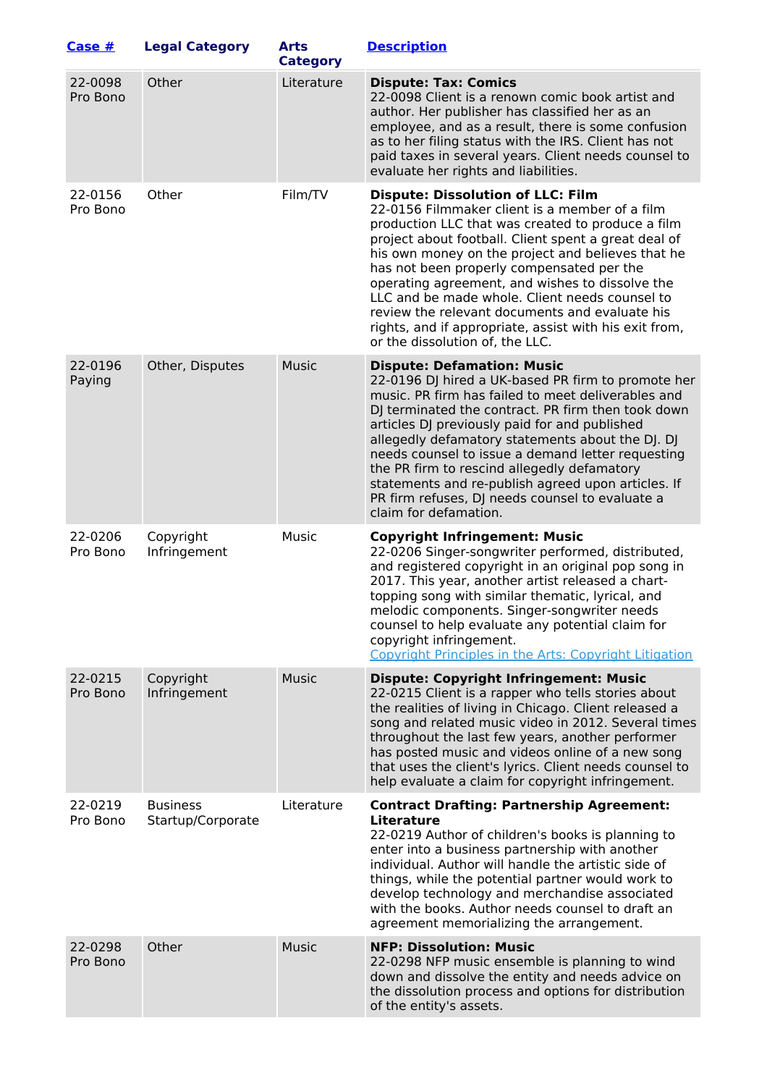| Case $#$            | <b>Legal Category</b>                | <b>Arts</b><br><b>Category</b> | <b>Description</b>                                                                                                                                                                                                                                                                                                                                                                                                                                                                                                                                            |
|---------------------|--------------------------------------|--------------------------------|---------------------------------------------------------------------------------------------------------------------------------------------------------------------------------------------------------------------------------------------------------------------------------------------------------------------------------------------------------------------------------------------------------------------------------------------------------------------------------------------------------------------------------------------------------------|
| 22-0098<br>Pro Bono | Other                                | Literature                     | <b>Dispute: Tax: Comics</b><br>22-0098 Client is a renown comic book artist and<br>author. Her publisher has classified her as an<br>employee, and as a result, there is some confusion<br>as to her filing status with the IRS. Client has not<br>paid taxes in several years. Client needs counsel to<br>evaluate her rights and liabilities.                                                                                                                                                                                                               |
| 22-0156<br>Pro Bono | Other                                | Film/TV                        | <b>Dispute: Dissolution of LLC: Film</b><br>22-0156 Filmmaker client is a member of a film<br>production LLC that was created to produce a film<br>project about football. Client spent a great deal of<br>his own money on the project and believes that he<br>has not been properly compensated per the<br>operating agreement, and wishes to dissolve the<br>LLC and be made whole. Client needs counsel to<br>review the relevant documents and evaluate his<br>rights, and if appropriate, assist with his exit from,<br>or the dissolution of, the LLC. |
| 22-0196<br>Paying   | Other, Disputes                      | <b>Music</b>                   | <b>Dispute: Defamation: Music</b><br>22-0196 DJ hired a UK-based PR firm to promote her<br>music. PR firm has failed to meet deliverables and<br>DJ terminated the contract. PR firm then took down<br>articles DJ previously paid for and published<br>allegedly defamatory statements about the DJ. DJ<br>needs counsel to issue a demand letter requesting<br>the PR firm to rescind allegedly defamatory<br>statements and re-publish agreed upon articles. If<br>PR firm refuses, DJ needs counsel to evaluate a<br>claim for defamation.                |
| 22-0206<br>Pro Bono | Copyright<br>Infringement            | Music                          | <b>Copyright Infringement: Music</b><br>22-0206 Singer-songwriter performed, distributed,<br>and registered copyright in an original pop song in<br>2017. This year, another artist released a chart-<br>topping song with similar thematic, lyrical, and<br>melodic components. Singer-songwriter needs<br>counsel to help evaluate any potential claim for<br>copyright infringement.<br>Copyright Principles in the Arts: Copyright Litigation                                                                                                             |
| 22-0215<br>Pro Bono | Copyright<br>Infringement            | <b>Music</b>                   | <b>Dispute: Copyright Infringement: Music</b><br>22-0215 Client is a rapper who tells stories about<br>the realities of living in Chicago. Client released a<br>song and related music video in 2012. Several times<br>throughout the last few years, another performer<br>has posted music and videos online of a new song<br>that uses the client's lyrics. Client needs counsel to<br>help evaluate a claim for copyright infringement.                                                                                                                    |
| 22-0219<br>Pro Bono | <b>Business</b><br>Startup/Corporate | Literature                     | <b>Contract Drafting: Partnership Agreement:</b><br>Literature<br>22-0219 Author of children's books is planning to<br>enter into a business partnership with another<br>individual. Author will handle the artistic side of<br>things, while the potential partner would work to<br>develop technology and merchandise associated<br>with the books. Author needs counsel to draft an<br>agreement memorializing the arrangement.                                                                                                                            |
| 22-0298<br>Pro Bono | Other                                | <b>Music</b>                   | <b>NFP: Dissolution: Music</b><br>22-0298 NFP music ensemble is planning to wind<br>down and dissolve the entity and needs advice on<br>the dissolution process and options for distribution<br>of the entity's assets.                                                                                                                                                                                                                                                                                                                                       |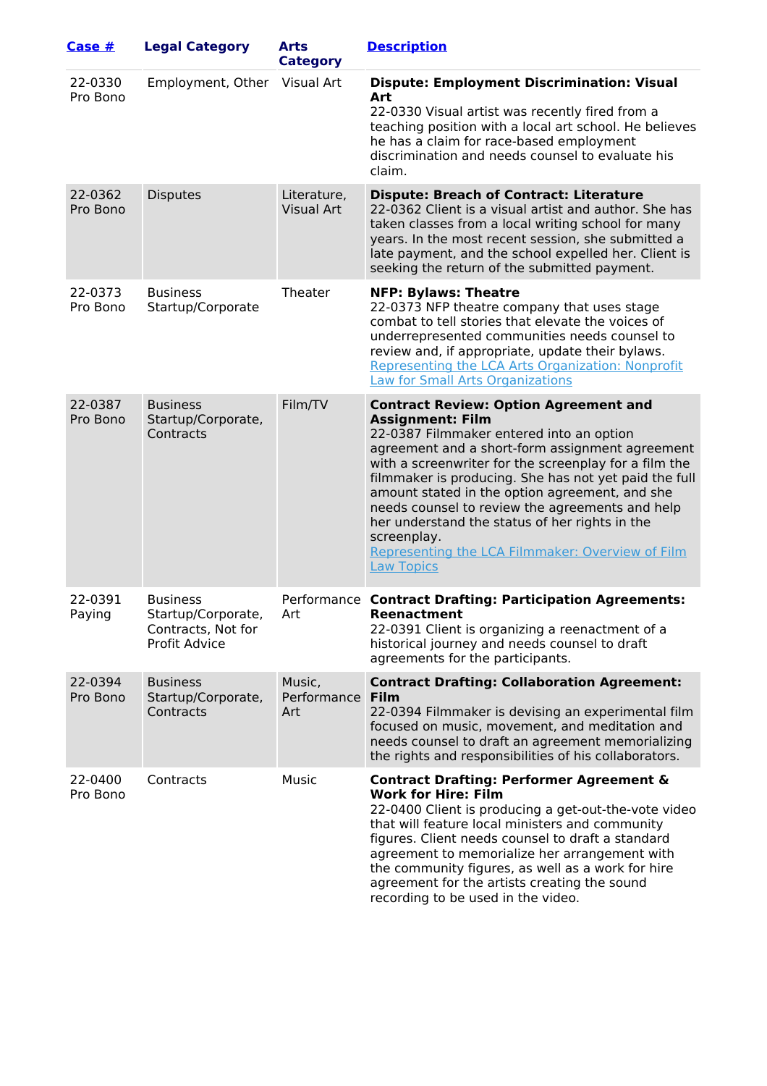| Case #              | <b>Legal Category</b>                                                               | Arts<br><b>Category</b>          | <b>Description</b>                                                                                                                                                                                                                                                                                                                                                                                                                                                                                                                      |
|---------------------|-------------------------------------------------------------------------------------|----------------------------------|-----------------------------------------------------------------------------------------------------------------------------------------------------------------------------------------------------------------------------------------------------------------------------------------------------------------------------------------------------------------------------------------------------------------------------------------------------------------------------------------------------------------------------------------|
| 22-0330<br>Pro Bono | Employment, Other Visual Art                                                        |                                  | <b>Dispute: Employment Discrimination: Visual</b><br>Art<br>22-0330 Visual artist was recently fired from a<br>teaching position with a local art school. He believes<br>he has a claim for race-based employment<br>discrimination and needs counsel to evaluate his<br>claim.                                                                                                                                                                                                                                                         |
| 22-0362<br>Pro Bono | <b>Disputes</b>                                                                     | Literature,<br><b>Visual Art</b> | <b>Dispute: Breach of Contract: Literature</b><br>22-0362 Client is a visual artist and author. She has<br>taken classes from a local writing school for many<br>years. In the most recent session, she submitted a<br>late payment, and the school expelled her. Client is<br>seeking the return of the submitted payment.                                                                                                                                                                                                             |
| 22-0373<br>Pro Bono | <b>Business</b><br>Startup/Corporate                                                | Theater                          | <b>NFP: Bylaws: Theatre</b><br>22-0373 NFP theatre company that uses stage<br>combat to tell stories that elevate the voices of<br>underrepresented communities needs counsel to<br>review and, if appropriate, update their bylaws.<br>Representing the LCA Arts Organization: Nonprofit<br>Law for Small Arts Organizations                                                                                                                                                                                                           |
| 22-0387<br>Pro Bono | <b>Business</b><br>Startup/Corporate,<br>Contracts                                  | Film/TV                          | <b>Contract Review: Option Agreement and</b><br><b>Assignment: Film</b><br>22-0387 Filmmaker entered into an option<br>agreement and a short-form assignment agreement<br>with a screenwriter for the screenplay for a film the<br>filmmaker is producing. She has not yet paid the full<br>amount stated in the option agreement, and she<br>needs counsel to review the agreements and help<br>her understand the status of her rights in the<br>screenplay.<br>Representing the LCA Filmmaker: Overview of Film<br><b>Law Topics</b> |
| 22-0391<br>Paying   | <b>Business</b><br>Startup/Corporate,<br>Contracts, Not for<br><b>Profit Advice</b> | Art                              | Performance Contract Drafting: Participation Agreements:<br>Reenactment<br>22-0391 Client is organizing a reenactment of a<br>historical journey and needs counsel to draft<br>agreements for the participants.                                                                                                                                                                                                                                                                                                                         |
| 22-0394<br>Pro Bono | <b>Business</b><br>Startup/Corporate,<br>Contracts                                  | Music,<br>Performance<br>Art     | <b>Contract Drafting: Collaboration Agreement:</b><br><b>Film</b><br>22-0394 Filmmaker is devising an experimental film<br>focused on music, movement, and meditation and<br>needs counsel to draft an agreement memorializing<br>the rights and responsibilities of his collaborators.                                                                                                                                                                                                                                                 |
| 22-0400<br>Pro Bono | Contracts                                                                           | Music                            | <b>Contract Drafting: Performer Agreement &amp;</b><br><b>Work for Hire: Film</b><br>22-0400 Client is producing a get-out-the-vote video<br>that will feature local ministers and community<br>figures. Client needs counsel to draft a standard<br>agreement to memorialize her arrangement with<br>the community figures, as well as a work for hire<br>agreement for the artists creating the sound<br>recording to be used in the video.                                                                                           |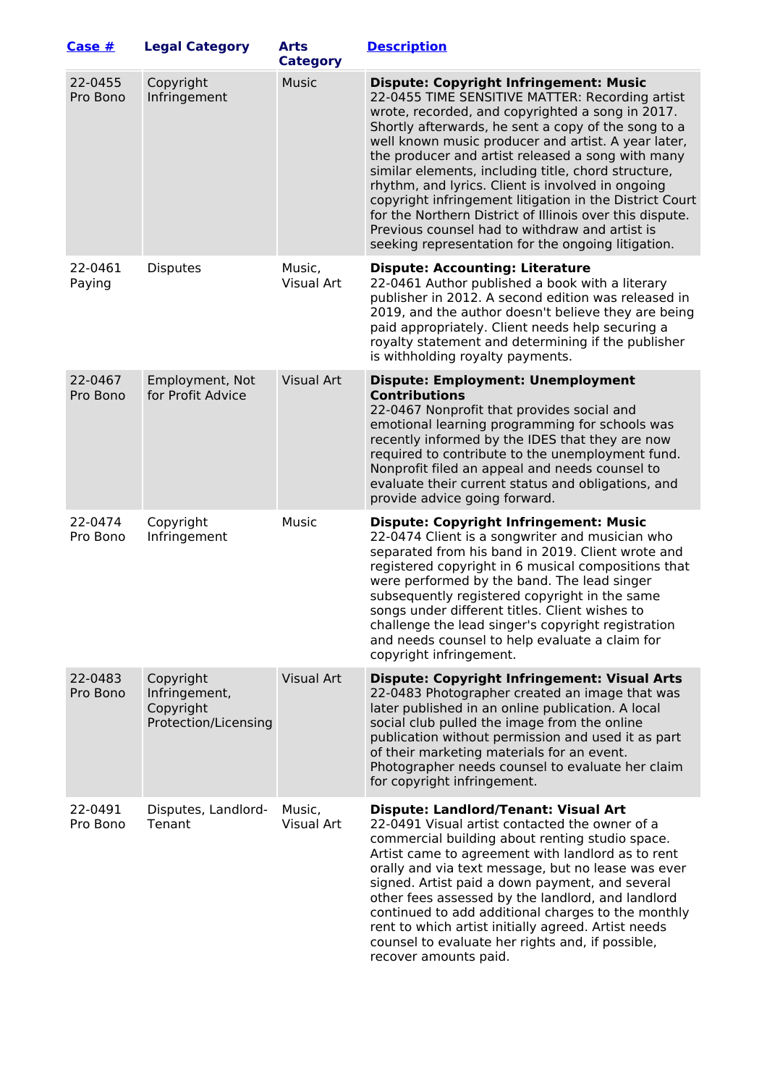| Case #              | <b>Legal Category</b>                                           | <b>Arts</b><br><b>Category</b> | <b>Description</b>                                                                                                                                                                                                                                                                                                                                                                                                                                                                                                                                                                                                                                                 |
|---------------------|-----------------------------------------------------------------|--------------------------------|--------------------------------------------------------------------------------------------------------------------------------------------------------------------------------------------------------------------------------------------------------------------------------------------------------------------------------------------------------------------------------------------------------------------------------------------------------------------------------------------------------------------------------------------------------------------------------------------------------------------------------------------------------------------|
| 22-0455<br>Pro Bono | Copyright<br>Infringement                                       | <b>Music</b>                   | <b>Dispute: Copyright Infringement: Music</b><br>22-0455 TIME SENSITIVE MATTER: Recording artist<br>wrote, recorded, and copyrighted a song in 2017.<br>Shortly afterwards, he sent a copy of the song to a<br>well known music producer and artist. A year later,<br>the producer and artist released a song with many<br>similar elements, including title, chord structure,<br>rhythm, and lyrics. Client is involved in ongoing<br>copyright infringement litigation in the District Court<br>for the Northern District of Illinois over this dispute.<br>Previous counsel had to withdraw and artist is<br>seeking representation for the ongoing litigation. |
| 22-0461<br>Paying   | <b>Disputes</b>                                                 | Music,<br>Visual Art           | <b>Dispute: Accounting: Literature</b><br>22-0461 Author published a book with a literary<br>publisher in 2012. A second edition was released in<br>2019, and the author doesn't believe they are being<br>paid appropriately. Client needs help securing a<br>royalty statement and determining if the publisher<br>is withholding royalty payments.                                                                                                                                                                                                                                                                                                              |
| 22-0467<br>Pro Bono | Employment, Not<br>for Profit Advice                            | <b>Visual Art</b>              | <b>Dispute: Employment: Unemployment</b><br><b>Contributions</b><br>22-0467 Nonprofit that provides social and<br>emotional learning programming for schools was<br>recently informed by the IDES that they are now<br>required to contribute to the unemployment fund.<br>Nonprofit filed an appeal and needs counsel to<br>evaluate their current status and obligations, and<br>provide advice going forward.                                                                                                                                                                                                                                                   |
| 22-0474<br>Pro Bono | Copyright<br>Infringement                                       | Music                          | <b>Dispute: Copyright Infringement: Music</b><br>22-0474 Client is a songwriter and musician who<br>separated from his band in 2019. Client wrote and<br>registered copyright in 6 musical compositions that<br>were performed by the band. The lead singer<br>subsequently registered copyright in the same<br>songs under different titles. Client wishes to<br>challenge the lead singer's copyright registration<br>and needs counsel to help evaluate a claim for<br>copyright infringement.                                                                                                                                                                  |
| 22-0483<br>Pro Bono | Copyright<br>Infringement,<br>Copyright<br>Protection/Licensing | <b>Visual Art</b>              | <b>Dispute: Copyright Infringement: Visual Arts</b><br>22-0483 Photographer created an image that was<br>later published in an online publication. A local<br>social club pulled the image from the online<br>publication without permission and used it as part<br>of their marketing materials for an event.<br>Photographer needs counsel to evaluate her claim<br>for copyright infringement.                                                                                                                                                                                                                                                                  |
| 22-0491<br>Pro Bono | Disputes, Landlord-<br>Tenant                                   | Music,<br>Visual Art           | <b>Dispute: Landlord/Tenant: Visual Art</b><br>22-0491 Visual artist contacted the owner of a<br>commercial building about renting studio space.<br>Artist came to agreement with landlord as to rent<br>orally and via text message, but no lease was ever<br>signed. Artist paid a down payment, and several<br>other fees assessed by the landlord, and landlord<br>continued to add additional charges to the monthly<br>rent to which artist initially agreed. Artist needs<br>counsel to evaluate her rights and, if possible,<br>recover amounts paid.                                                                                                      |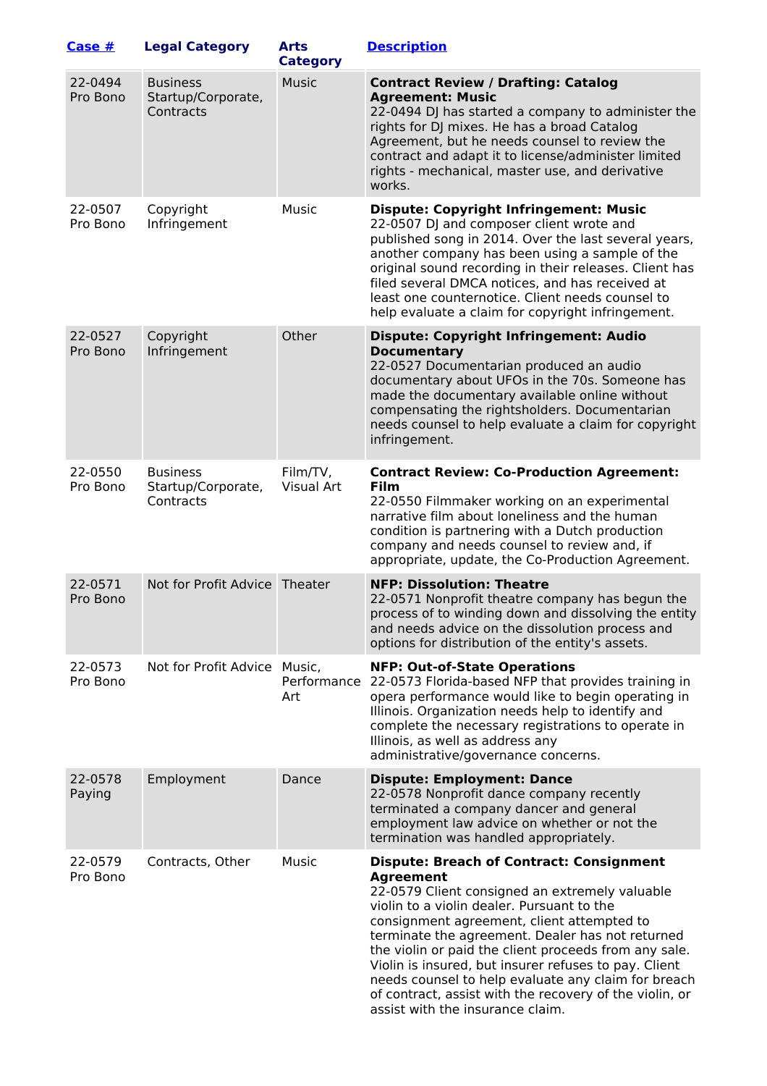| Case #              | <b>Legal Category</b>                              | <b>Arts</b><br><b>Category</b> | <b>Description</b>                                                                                                                                                                                                                                                                                                                                                                                                                                                                                                                            |
|---------------------|----------------------------------------------------|--------------------------------|-----------------------------------------------------------------------------------------------------------------------------------------------------------------------------------------------------------------------------------------------------------------------------------------------------------------------------------------------------------------------------------------------------------------------------------------------------------------------------------------------------------------------------------------------|
| 22-0494<br>Pro Bono | <b>Business</b><br>Startup/Corporate,<br>Contracts | <b>Music</b>                   | <b>Contract Review / Drafting: Catalog</b><br><b>Agreement: Music</b><br>22-0494 DJ has started a company to administer the<br>rights for DJ mixes. He has a broad Catalog<br>Agreement, but he needs counsel to review the<br>contract and adapt it to license/administer limited<br>rights - mechanical, master use, and derivative<br>works.                                                                                                                                                                                               |
| 22-0507<br>Pro Bono | Copyright<br>Infringement                          | Music                          | <b>Dispute: Copyright Infringement: Music</b><br>22-0507 DJ and composer client wrote and<br>published song in 2014. Over the last several years,<br>another company has been using a sample of the<br>original sound recording in their releases. Client has<br>filed several DMCA notices, and has received at<br>least one counternotice. Client needs counsel to<br>help evaluate a claim for copyright infringement.                                                                                                                     |
| 22-0527<br>Pro Bono | Copyright<br>Infringement                          | Other                          | <b>Dispute: Copyright Infringement: Audio</b><br><b>Documentary</b><br>22-0527 Documentarian produced an audio<br>documentary about UFOs in the 70s. Someone has<br>made the documentary available online without<br>compensating the rightsholders. Documentarian<br>needs counsel to help evaluate a claim for copyright<br>infringement.                                                                                                                                                                                                   |
| 22-0550<br>Pro Bono | <b>Business</b><br>Startup/Corporate,<br>Contracts | Film/TV,<br>Visual Art         | <b>Contract Review: Co-Production Agreement:</b><br>Film<br>22-0550 Filmmaker working on an experimental<br>narrative film about loneliness and the human<br>condition is partnering with a Dutch production<br>company and needs counsel to review and, if<br>appropriate, update, the Co-Production Agreement.                                                                                                                                                                                                                              |
| 22-0571<br>Pro Bono | Not for Profit Advice Theater                      |                                | <b>NFP: Dissolution: Theatre</b><br>22-0571 Nonprofit theatre company has begun the<br>process of to winding down and dissolving the entity<br>and needs advice on the dissolution process and<br>options for distribution of the entity's assets.                                                                                                                                                                                                                                                                                            |
| 22-0573<br>Pro Bono | Not for Profit Advice Music,                       | Art                            | <b>NFP: Out-of-State Operations</b><br>Performance 22-0573 Florida-based NFP that provides training in<br>opera performance would like to begin operating in<br>Illinois. Organization needs help to identify and<br>complete the necessary registrations to operate in<br>Illinois, as well as address any<br>administrative/governance concerns.                                                                                                                                                                                            |
| 22-0578<br>Paying   | Employment                                         | Dance                          | <b>Dispute: Employment: Dance</b><br>22-0578 Nonprofit dance company recently<br>terminated a company dancer and general<br>employment law advice on whether or not the<br>termination was handled appropriately.                                                                                                                                                                                                                                                                                                                             |
| 22-0579<br>Pro Bono | Contracts, Other                                   | Music                          | <b>Dispute: Breach of Contract: Consignment</b><br><b>Agreement</b><br>22-0579 Client consigned an extremely valuable<br>violin to a violin dealer. Pursuant to the<br>consignment agreement, client attempted to<br>terminate the agreement. Dealer has not returned<br>the violin or paid the client proceeds from any sale.<br>Violin is insured, but insurer refuses to pay. Client<br>needs counsel to help evaluate any claim for breach<br>of contract, assist with the recovery of the violin, or<br>assist with the insurance claim. |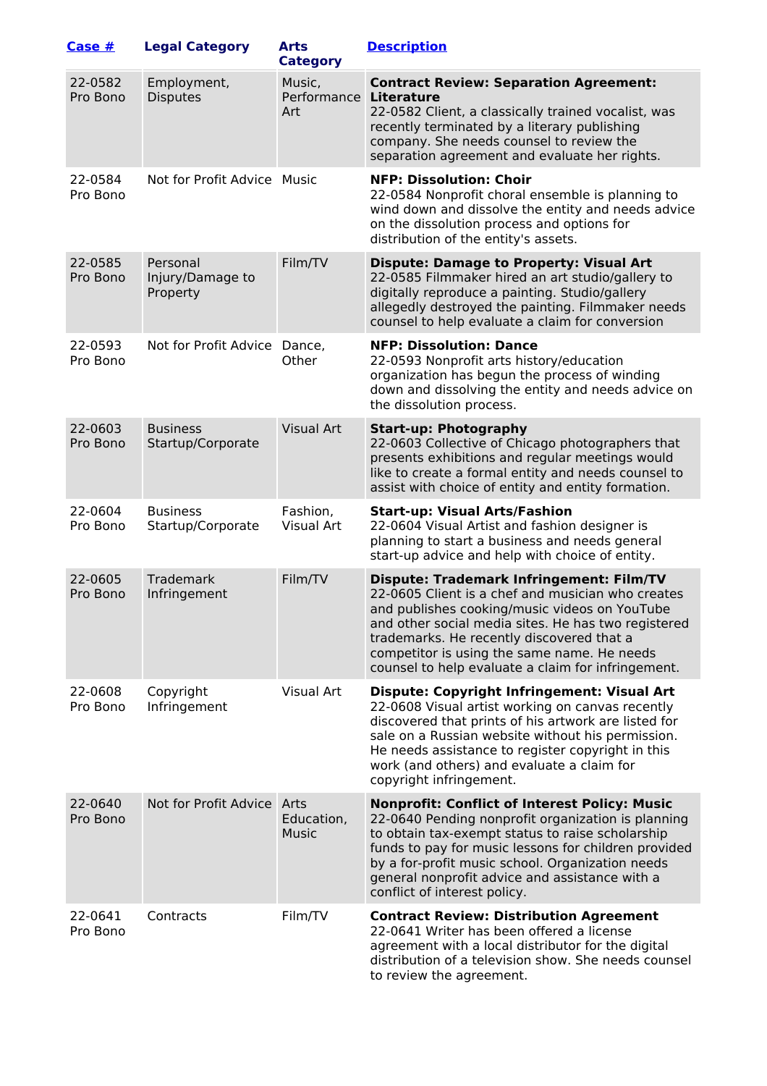| Case #              | <b>Legal Category</b>                    | <b>Arts</b><br><b>Category</b> | <b>Description</b>                                                                                                                                                                                                                                                                                                                                             |
|---------------------|------------------------------------------|--------------------------------|----------------------------------------------------------------------------------------------------------------------------------------------------------------------------------------------------------------------------------------------------------------------------------------------------------------------------------------------------------------|
| 22-0582<br>Pro Bono | Employment,<br><b>Disputes</b>           | Music,<br>Performance<br>Art   | <b>Contract Review: Separation Agreement:</b><br><b>Literature</b><br>22-0582 Client, a classically trained vocalist, was<br>recently terminated by a literary publishing<br>company. She needs counsel to review the<br>separation agreement and evaluate her rights.                                                                                         |
| 22-0584<br>Pro Bono | Not for Profit Advice Music              |                                | <b>NFP: Dissolution: Choir</b><br>22-0584 Nonprofit choral ensemble is planning to<br>wind down and dissolve the entity and needs advice<br>on the dissolution process and options for<br>distribution of the entity's assets.                                                                                                                                 |
| 22-0585<br>Pro Bono | Personal<br>Injury/Damage to<br>Property | Film/TV                        | <b>Dispute: Damage to Property: Visual Art</b><br>22-0585 Filmmaker hired an art studio/gallery to<br>digitally reproduce a painting. Studio/gallery<br>allegedly destroyed the painting. Filmmaker needs<br>counsel to help evaluate a claim for conversion                                                                                                   |
| 22-0593<br>Pro Bono | Not for Profit Advice Dance,             | Other                          | <b>NFP: Dissolution: Dance</b><br>22-0593 Nonprofit arts history/education<br>organization has begun the process of winding<br>down and dissolving the entity and needs advice on<br>the dissolution process.                                                                                                                                                  |
| 22-0603<br>Pro Bono | <b>Business</b><br>Startup/Corporate     | <b>Visual Art</b>              | <b>Start-up: Photography</b><br>22-0603 Collective of Chicago photographers that<br>presents exhibitions and regular meetings would<br>like to create a formal entity and needs counsel to<br>assist with choice of entity and entity formation.                                                                                                               |
| 22-0604<br>Pro Bono | <b>Business</b><br>Startup/Corporate     | Fashion,<br>Visual Art         | <b>Start-up: Visual Arts/Fashion</b><br>22-0604 Visual Artist and fashion designer is<br>planning to start a business and needs general<br>start-up advice and help with choice of entity.                                                                                                                                                                     |
| 22-0605<br>Pro Bono | Trademark<br>Infringement                | Film/TV                        | <b>Dispute: Trademark Infringement: Film/TV</b><br>22-0605 Client is a chef and musician who creates<br>and publishes cooking/music videos on YouTube<br>and other social media sites. He has two registered<br>trademarks. He recently discovered that a<br>competitor is using the same name. He needs<br>counsel to help evaluate a claim for infringement. |
| 22-0608<br>Pro Bono | Copyright<br>Infringement                | Visual Art                     | <b>Dispute: Copyright Infringement: Visual Art</b><br>22-0608 Visual artist working on canvas recently<br>discovered that prints of his artwork are listed for<br>sale on a Russian website without his permission.<br>He needs assistance to register copyright in this<br>work (and others) and evaluate a claim for<br>copyright infringement.              |
| 22-0640<br>Pro Bono | Not for Profit Advice Arts               | Education,<br><b>Music</b>     | <b>Nonprofit: Conflict of Interest Policy: Music</b><br>22-0640 Pending nonprofit organization is planning<br>to obtain tax-exempt status to raise scholarship<br>funds to pay for music lessons for children provided<br>by a for-profit music school. Organization needs<br>general nonprofit advice and assistance with a<br>conflict of interest policy.   |
| 22-0641<br>Pro Bono | Contracts                                | Film/TV                        | <b>Contract Review: Distribution Agreement</b><br>22-0641 Writer has been offered a license<br>agreement with a local distributor for the digital<br>distribution of a television show. She needs counsel<br>to review the agreement.                                                                                                                          |